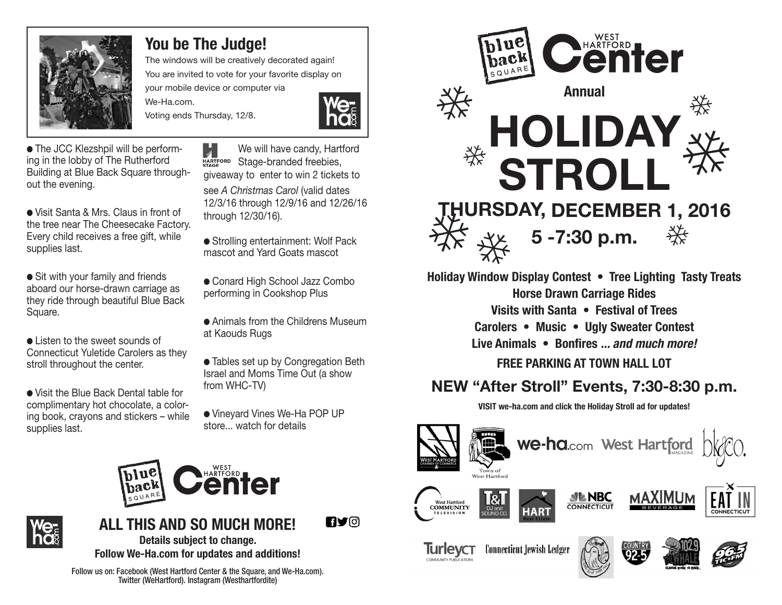

### **You be The Judge!**

The windows will be creatively decorated again! You are invited to vote for your favorite display on your mobile device or computer via

Voting ends Thursday, 12/8.

We-Ha.com.



● The JCC Klezshpil will be performing in the lobby of The Rutherford Building at Blue Back Square throughout the evening.

● Visit Santa & Mrs. Claus in front of the tree near The Cheesecake Factory. Every child receives a free gift, while supplies last.

● Sit with your family and friends aboard our horse-drawn carriage as they ride through beautiful Blue Back Square.

● Listen to the sweet sounds of Connecticut Yuletide Carolers as they stroll throughout the center.

● Visit the Blue Back Dental table for complimentary hot chocolate, a coloring book, crayons and stickers – while supplies last.

И We will have candy, Hartford HARTFORD Stage-branded freebies, giveaway to enter to win 2 tickets to see *A Christmas Carol* (valid dates 12/3/16 through 12/9/16 and 12/26/16 through 12/30/16).

● Strolling entertainment: Wolf Pack mascot and Yard Goats mascot

● Conard High School Jazz Combo performing in Cookshop Plus

● Animals from the Childrens Museum at Kaouds Rugs

● Tables set up by Congregation Beth Israel and Moms Time Out (a show from WHC-TV)

● Vineyard Vines We-Ha POP UP store... watch for details





**ny**o **ALL THIS AND SO MUCH MORE! Details subject to change. Follow We-Ha.com for updates and additions!**

Follow us on: Facebook (West Hartford Center & the Square, and We-Ha.com). Twitter (WeHartford). Instagram (Westhartfordite)



**Holiday Window Display Contest • Tree Lighting Tasty Treats Horse Drawn Carriage Rides Visits with Santa • Festival of Trees Carolers • Music • Ugly Sweater Contest Live Animals • Bonfires ... and much more! FREE PARKING AT TOWN HALL LOT**

## **NEW "After Stroll" Events, 7:30-8:30 p.m.**

**VISIT we-ha.com and click the Holiday Stroll ad for updates!**